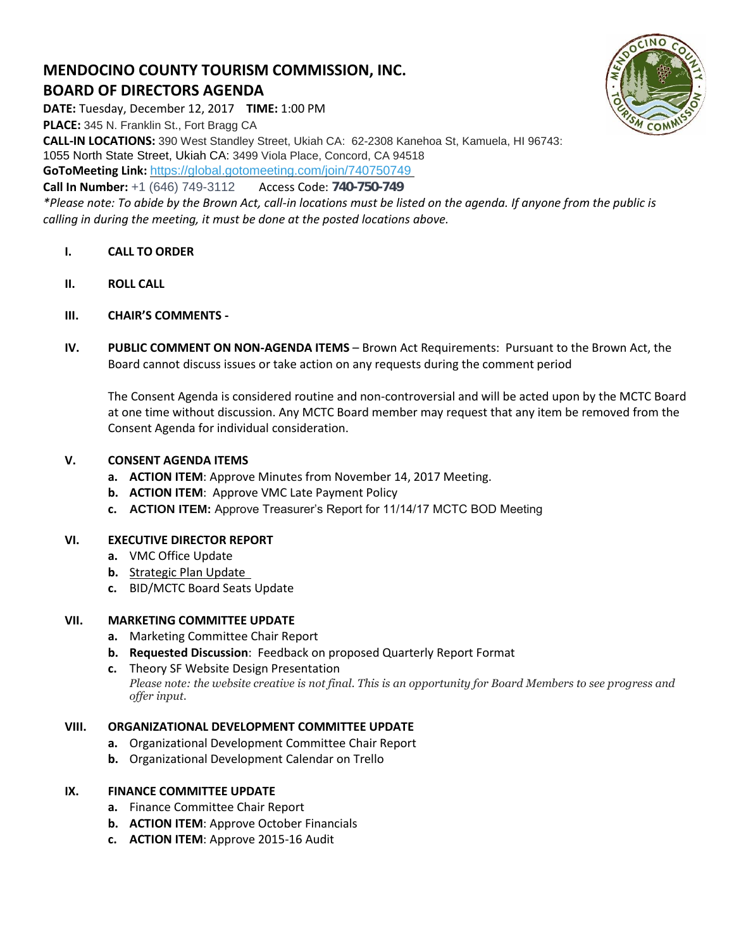# **MENDOCINO COUNTY TOURISM COMMISSION, INC. BOARD OF DIRECTORS AGENDA**

**DATE:** Tuesday, December 12, 2017 **TIME:** 1:00 PM **PLACE:** 345 N. Franklin St., Fort Bragg CA **CALL-IN LOCATIONS:** 390 West Standley Street, Ukiah CA: 62-2308 Kanehoa St, Kamuela, HI 96743: 1055 North State Street, Ukiah CA: 3499 Viola Place, Concord, CA 94518 **GoToMeeting Link:** <https://global.gotomeeting.com/join/740750749> **Call In Number:** +1 (646) 749-3112 Access Code: 740-750-749

*\*Please note: To abide by the Brown Act, call-in locations must be listed on the agenda. If anyone from the public is calling in during the meeting, it must be done at the posted locations above.*

- **I. CALL TO ORDER**
- **II. ROLL CALL**
- **III. CHAIR'S COMMENTS -**
- **IV. PUBLIC COMMENT ON NON-AGENDA ITEMS** Brown Act Requirements: Pursuant to the Brown Act, the Board cannot discuss issues or take action on any requests during the comment period

The Consent Agenda is considered routine and non-controversial and will be acted upon by the MCTC Board at one time without discussion. Any MCTC Board member may request that any item be removed from the Consent Agenda for individual consideration.

## **V. CONSENT AGENDA ITEMS**

- **a. ACTION ITEM**: Approve Minutes from November 14, 2017 Meeting.
- **b. ACTION ITEM**: Approve VMC Late Payment Policy
- **c. ACTION ITEM:** Approve Treasurer's Report for 11/14/17 MCTC BOD Meeting

#### **VI. EXECUTIVE DIRECTOR REPORT**

- **a.** VMC Office Update
- **b.** [Strategic Plan Update](https://trello.com/b/fPWrmc5Z)
- **c.** BID/MCTC Board Seats Update

#### **VII. MARKETING COMMITTEE UPDATE**

- **a.** Marketing Committee Chair Report
- **b. Requested Discussion**: Feedback on proposed Quarterly Report Format
- **c.** Theory SF Website Design Presentation *Please note: the website creative is not final. This is an opportunity for Board Members to see progress and offer input.*

# **VIII. ORGANIZATIONAL DEVELOPMENT COMMITTEE UPDATE**

- **a.** Organizational Development Committee Chair Report
- **b.** Organizational Development Calendar on Trello

#### **IX. FINANCE COMMITTEE UPDATE**

- **a.** Finance Committee Chair Report
- **b. ACTION ITEM**: Approve October Financials
- **c. ACTION ITEM**: Approve 2015-16 Audit